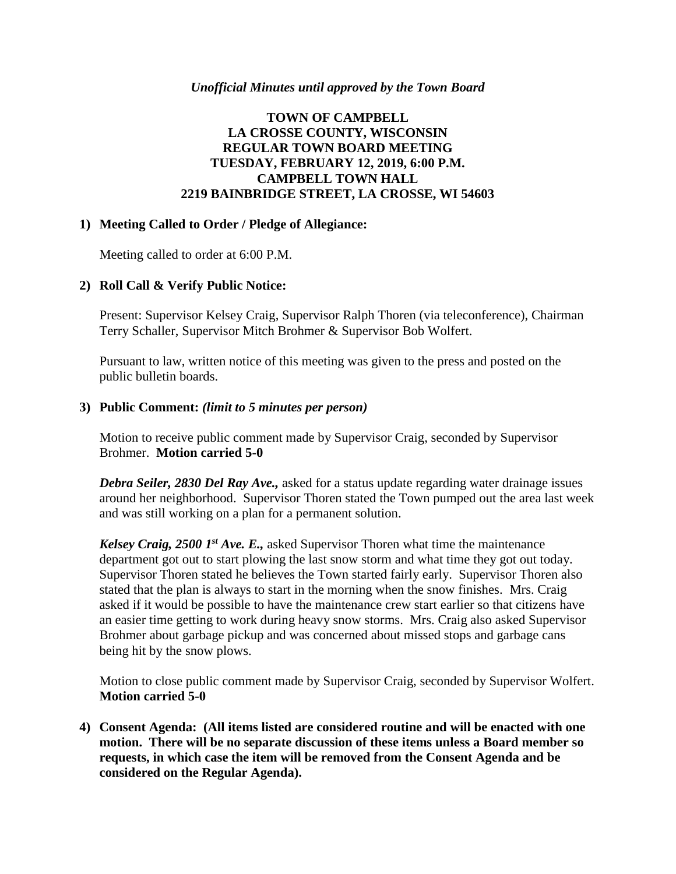## *Unofficial Minutes until approved by the Town Board*

# **TOWN OF CAMPBELL LA CROSSE COUNTY, WISCONSIN REGULAR TOWN BOARD MEETING TUESDAY, FEBRUARY 12, 2019, 6:00 P.M. CAMPBELL TOWN HALL 2219 BAINBRIDGE STREET, LA CROSSE, WI 54603**

## **1) Meeting Called to Order / Pledge of Allegiance:**

Meeting called to order at 6:00 P.M.

# **2) Roll Call & Verify Public Notice:**

Present: Supervisor Kelsey Craig, Supervisor Ralph Thoren (via teleconference), Chairman Terry Schaller, Supervisor Mitch Brohmer & Supervisor Bob Wolfert.

Pursuant to law, written notice of this meeting was given to the press and posted on the public bulletin boards.

## **3) Public Comment:** *(limit to 5 minutes per person)*

Motion to receive public comment made by Supervisor Craig, seconded by Supervisor Brohmer. **Motion carried 5-0**

*Debra Seiler, 2830 Del Ray Ave.,* asked for a status update regarding water drainage issues around her neighborhood. Supervisor Thoren stated the Town pumped out the area last week and was still working on a plan for a permanent solution.

*Kelsey Craig, 2500 1st Ave. E.,* asked Supervisor Thoren what time the maintenance department got out to start plowing the last snow storm and what time they got out today. Supervisor Thoren stated he believes the Town started fairly early. Supervisor Thoren also stated that the plan is always to start in the morning when the snow finishes. Mrs. Craig asked if it would be possible to have the maintenance crew start earlier so that citizens have an easier time getting to work during heavy snow storms. Mrs. Craig also asked Supervisor Brohmer about garbage pickup and was concerned about missed stops and garbage cans being hit by the snow plows.

Motion to close public comment made by Supervisor Craig, seconded by Supervisor Wolfert. **Motion carried 5-0**

**4) Consent Agenda: (All items listed are considered routine and will be enacted with one motion. There will be no separate discussion of these items unless a Board member so requests, in which case the item will be removed from the Consent Agenda and be considered on the Regular Agenda).**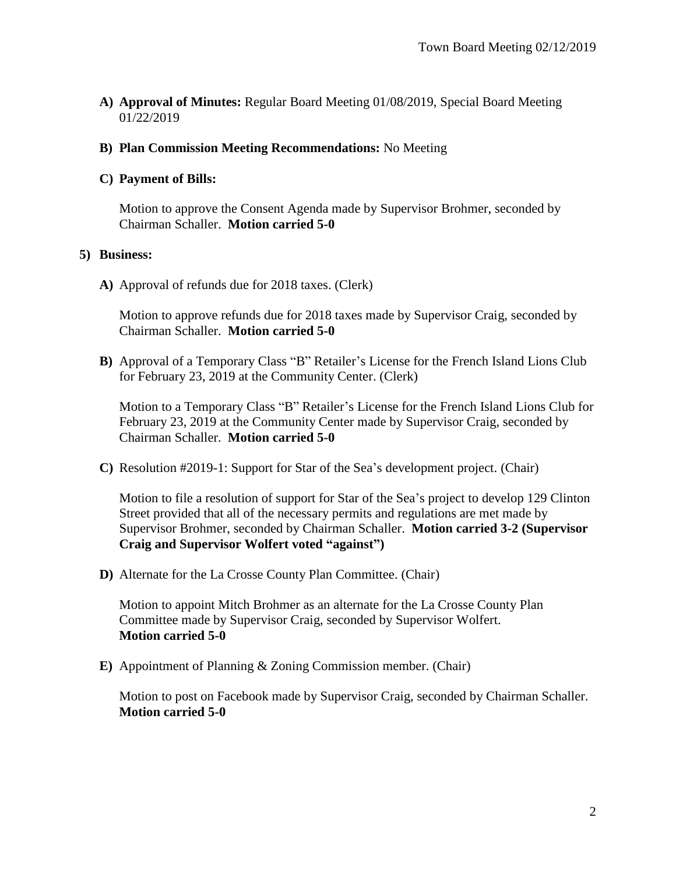**A) Approval of Minutes:** Regular Board Meeting 01/08/2019, Special Board Meeting 01/22/2019

## **B) Plan Commission Meeting Recommendations:** No Meeting

## **C) Payment of Bills:**

Motion to approve the Consent Agenda made by Supervisor Brohmer, seconded by Chairman Schaller. **Motion carried 5-0**

#### **5) Business:**

**A)** Approval of refunds due for 2018 taxes. (Clerk)

Motion to approve refunds due for 2018 taxes made by Supervisor Craig, seconded by Chairman Schaller. **Motion carried 5-0**

**B)** Approval of a Temporary Class "B" Retailer's License for the French Island Lions Club for February 23, 2019 at the Community Center. (Clerk)

Motion to a Temporary Class "B" Retailer's License for the French Island Lions Club for February 23, 2019 at the Community Center made by Supervisor Craig, seconded by Chairman Schaller. **Motion carried 5-0**

**C)** Resolution #2019-1: Support for Star of the Sea's development project. (Chair)

Motion to file a resolution of support for Star of the Sea's project to develop 129 Clinton Street provided that all of the necessary permits and regulations are met made by Supervisor Brohmer, seconded by Chairman Schaller. **Motion carried 3-2 (Supervisor Craig and Supervisor Wolfert voted "against")** 

**D)** Alternate for the La Crosse County Plan Committee. (Chair)

Motion to appoint Mitch Brohmer as an alternate for the La Crosse County Plan Committee made by Supervisor Craig, seconded by Supervisor Wolfert. **Motion carried 5-0**

**E)** Appointment of Planning & Zoning Commission member. (Chair)

Motion to post on Facebook made by Supervisor Craig, seconded by Chairman Schaller. **Motion carried 5-0**